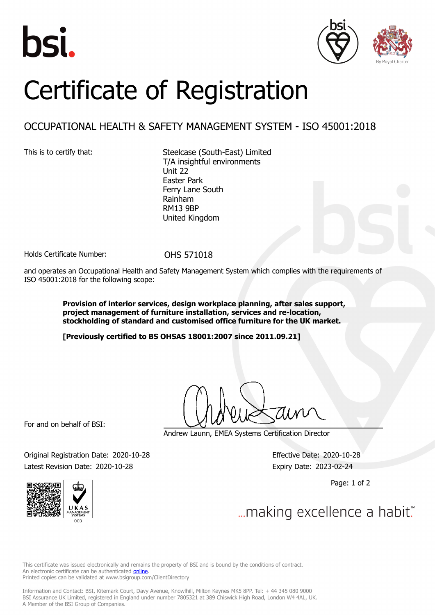





## Certificate of Registration

## OCCUPATIONAL HEALTH & SAFETY MANAGEMENT SYSTEM - ISO 45001:2018

This is to certify that: Steelcase (South-East) Limited T/A insightful environments Unit 22 Easter Park Ferry Lane South Rainham RM13 9BP United Kingdom

Holds Certificate Number: 0HS 571018

and operates an Occupational Health and Safety Management System which complies with the requirements of ISO 45001:2018 for the following scope:

> **Provision of interior services, design workplace planning, after sales support, project management of furniture installation, services and re-location, stockholding of standard and customised office furniture for the UK market.**

**[Previously certified to BS OHSAS 18001:2007 since 2011.09.21]**

For and on behalf of BSI:

Andrew Launn, EMEA Systems Certification Director

Original Registration Date: 2020-10-28 Effective Date: 2020-10-28 Latest Revision Date: 2020-10-28 Expiry Date: 2023-02-24

Page: 1 of 2



... making excellence a habit."

This certificate was issued electronically and remains the property of BSI and is bound by the conditions of contract. An electronic certificate can be authenticated **[online](https://pgplus.bsigroup.com/CertificateValidation/CertificateValidator.aspx?CertificateNumber=OHS+571018&ReIssueDate=28%2f10%2f2020&Template=uk)**. Printed copies can be validated at www.bsigroup.com/ClientDirectory

Information and Contact: BSI, Kitemark Court, Davy Avenue, Knowlhill, Milton Keynes MK5 8PP. Tel: + 44 345 080 9000 BSI Assurance UK Limited, registered in England under number 7805321 at 389 Chiswick High Road, London W4 4AL, UK. A Member of the BSI Group of Companies.